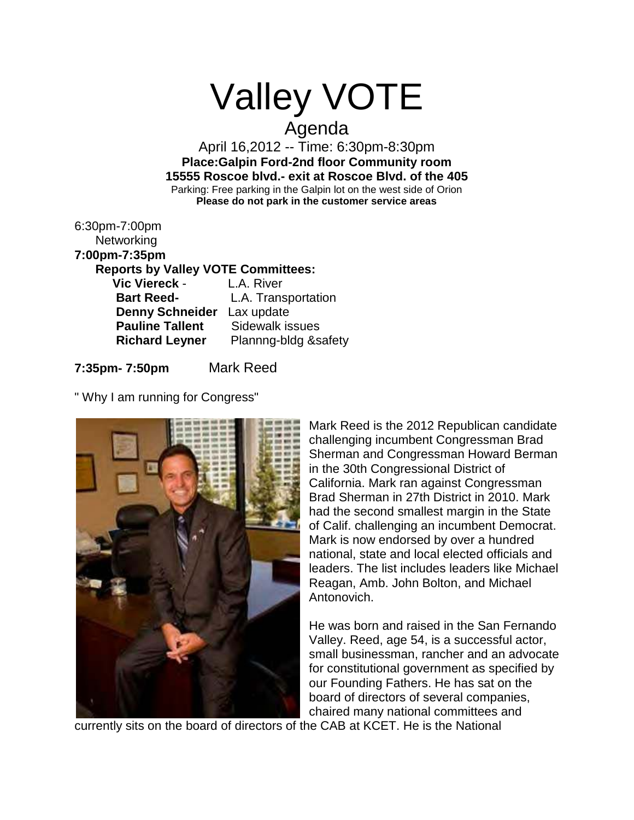# Valley VOTE

## Agenda

April 16,2012 -- Time: 6:30pm-8:30pm **Place:Galpin Ford-2nd floor Community room 15555 Roscoe blvd.- exit at Roscoe Blvd. of the 405** Parking: Free parking in the Galpin lot on the west side of Orion **Please do not park in the customer service areas**

| 6:30pm-7:00pm<br>Networking               |                      |
|-------------------------------------------|----------------------|
| 7:00pm-7:35pm                             |                      |
| <b>Reports by Valley VOTE Committees:</b> |                      |
| Vic Viereck -                             | L.A. River           |
| <b>Bart Reed-</b>                         | L.A. Transportation  |
| <b>Denny Schneider</b>                    | Lax update           |
| <b>Pauline Tallent</b>                    | Sidewalk issues      |
| <b>Richard Leyner</b>                     | Plannng-bldg &safety |
|                                           |                      |

**7:35pm- 7:50pm** Mark Reed

" Why I am running for Congress"



Mark Reed is the 2012 Republican candidate challenging incumbent Congressman Brad Sherman and Congressman Howard Berman in the 30th Congressional District of California. Mark ran against Congressman Brad Sherman in 27th District in 2010. Mark had the second smallest margin in the State of Calif. challenging an incumbent Democrat. Mark is now endorsed by over a hundred national, state and local elected officials and leaders. The list includes leaders like Michael Reagan, Amb. John Bolton, and Michael Antonovich.

He was born and raised in the San Fernando Valley. Reed, age 54, is a successful actor, small businessman, rancher and an advocate for constitutional government as specified by our Founding Fathers. He has sat on the board of directors of several companies, chaired many national committees and

currently sits on the board of directors of the CAB at KCET. He is the National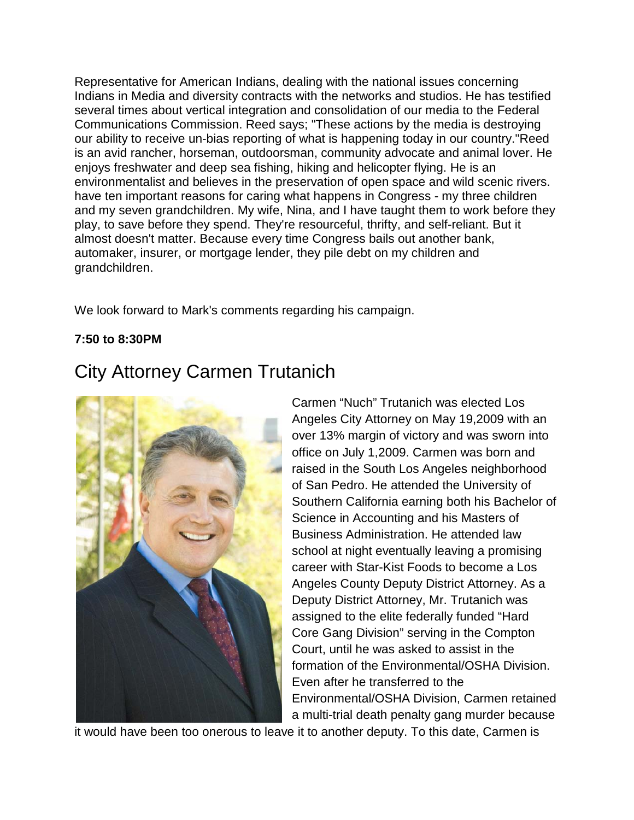Representative for American Indians, dealing with the national issues concerning Indians in Media and diversity contracts with the networks and studios. He has testified several times about vertical integration and consolidation of our media to the Federal Communications Commission. Reed says; "These actions by the media is destroying our ability to receive un-bias reporting of what is happening today in our country."Reed is an avid rancher, horseman, outdoorsman, community advocate and animal lover. He enjoys freshwater and deep sea fishing, hiking and helicopter flying. He is an environmentalist and believes in the preservation of open space and wild scenic rivers. have ten important reasons for caring what happens in Congress - my three children and my seven grandchildren. My wife, Nina, and I have taught them to work before they play, to save before they spend. They're resourceful, thrifty, and self-reliant. But it almost doesn't matter. Because every time Congress bails out another bank, automaker, insurer, or mortgage lender, they pile debt on my children and grandchildren.

We look forward to Mark's comments regarding his campaign.

### **7:50 to 8:30PM**

## City Attorney Carmen Trutanich



Carmen "Nuch" Trutanich was elected Los Angeles City Attorney on May 19,2009 with an over 13% margin of victory and was sworn into office on July 1,2009. Carmen was born and raised in the South Los Angeles neighborhood of San Pedro. He attended the University of Southern California earning both his Bachelor of Science in Accounting and his Masters of Business Administration. He attended law school at night eventually leaving a promising career with Star-Kist Foods to become a Los Angeles County Deputy District Attorney. As a Deputy District Attorney, Mr. Trutanich was assigned to the elite federally funded "Hard Core Gang Division" serving in the Compton Court, until he was asked to assist in the formation of the Environmental/OSHA Division. Even after he transferred to the Environmental/OSHA Division, Carmen retained a multi-trial death penalty gang murder because

it would have been too onerous to leave it to another deputy. To this date, Carmen is